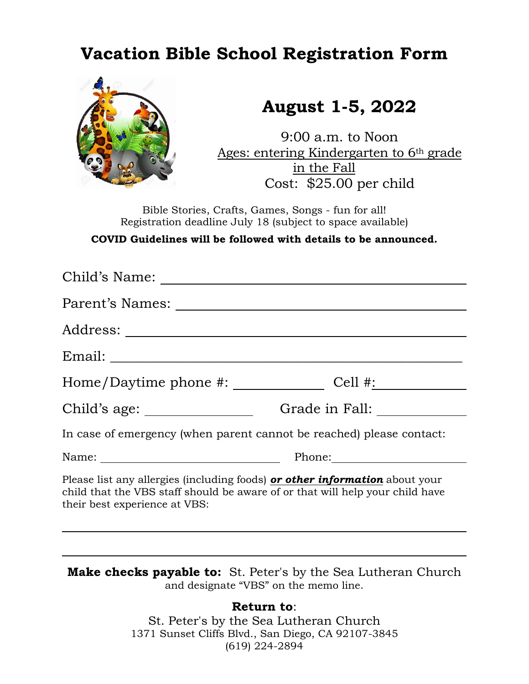## **Vacation Bible School Registration Form**



## **August 1-5, 2022**

9:00 a.m. to Noon Ages: entering Kindergarten to 6th grade in the Fall Cost: \$25.00 per child

Bible Stories, Crafts, Games, Songs - fun for all! Registration deadline July 18 (subject to space available)

**COVID Guidelines will be followed with details to be announced.**

| Parent's Names:                                                                                                                                                                                      |                                                                                                                                                                                                                                |  |
|------------------------------------------------------------------------------------------------------------------------------------------------------------------------------------------------------|--------------------------------------------------------------------------------------------------------------------------------------------------------------------------------------------------------------------------------|--|
| Address: _____________                                                                                                                                                                               |                                                                                                                                                                                                                                |  |
|                                                                                                                                                                                                      |                                                                                                                                                                                                                                |  |
| Home/Daytime phone #: _____________                                                                                                                                                                  | $Cell$ #:                                                                                                                                                                                                                      |  |
|                                                                                                                                                                                                      | Grade in Fall:                                                                                                                                                                                                                 |  |
| In case of emergency (when parent cannot be reached) please contact:                                                                                                                                 |                                                                                                                                                                                                                                |  |
|                                                                                                                                                                                                      | Phone: Note that the set of the set of the set of the set of the set of the set of the set of the set of the set of the set of the set of the set of the set of the set of the set of the set of the set of the set of the set |  |
| Please list any allergies (including foods) <b>or other information</b> about your<br>child that the VBS staff should be aware of or that will help your child have<br>their best experience at VBS: |                                                                                                                                                                                                                                |  |

**Make checks payable to:** St. Peter's by the Sea Lutheran Church and designate "VBS" on the memo line.

## **Return to**:

St. Peter's by the Sea Lutheran Church 1371 Sunset Cliffs Blvd., San Diego, CA 92107-3845 (619) 224-2894